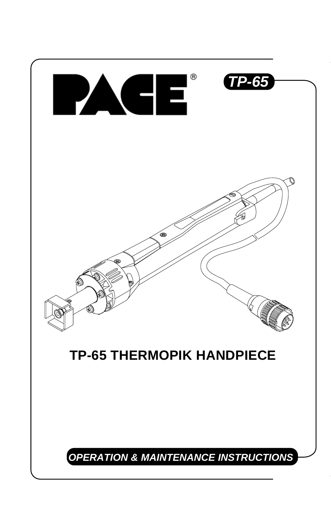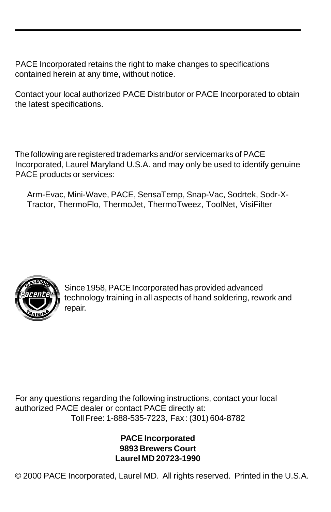PACE Incorporated retains the right to make changes to specifications contained herein at any time, without notice.

Contact your local authorized PACE Distributor or PACE Incorporated to obtain the latest specifications.

The following are registered trademarks and/or servicemarks of PACE Incorporated, Laurel Maryland U.S.A. and may only be used to identify genuine PACE products or services:

Arm-Evac, Mini-Wave, PACE, SensaTemp, Snap-Vac, Sodrtek, Sodr-X-Tractor, ThermoFlo, ThermoJet, ThermoTweez, ToolNet, VisiFilter



Since 1958, PACE Incorporated has provided advanced technology training in all aspects of hand soldering, rework and repair.

For any questions regarding the following instructions, contact your local authorized PACE dealer or contact PACE directly at: Toll Free: 1-888-535-7223, Fax : (301) 604-8782

> **PACE Incorporated 9893 Brewers Court Laurel MD 20723-1990**

© 2000 PACE Incorporated, Laurel MD. All rights reserved. Printed in the U.S.A.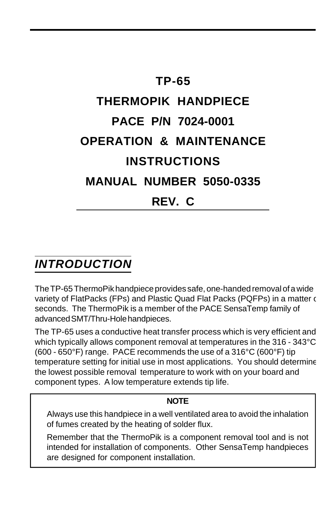# **TP-65 THERMOPIK HANDPIECE PACE P/N 7024-0001 OPERATION & MAINTENANCE INSTRUCTIONS MANUAL NUMBER 5050-0335 REV. C**

## *INTRODUCTION*

The TP-65 ThermoPik handpiece provides safe, one-handed removal of a wide variety of FlatPacks (FPs) and Plastic Quad Flat Packs (PQFPs) in a matter of seconds. The ThermoPik is a member of the PACE SensaTemp family of advanced SMT/Thru-Hole handpieces.

The TP-65 uses a conductive heat transfer process which is very efficient and which typically allows component removal at temperatures in the 316 - 343°C (600 - 650°F) range. PACE recommends the use of a 316°C (600°F) tip temperature setting for initial use in most applications. You should determine the lowest possible removal temperature to work with on your board and component types. A low temperature extends tip life.

#### **NOTE**

Always use this handpiece in a well ventilated area to avoid the inhalation of fumes created by the heating of solder flux.

Remember that the ThermoPik is a component removal tool and is not intended for installation of components. Other SensaTemp handpieces are designed for component installation.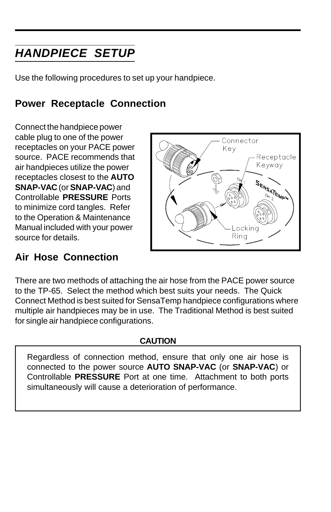# *HANDPIECE SETUP*

Use the following procedures to set up your handpiece.

### **Power Receptacle Connection**

Connect the handpiece power cable plug to one of the power receptacles on your PACE power source. PACE recommends that air handpieces utilize the power receptacles closest to the **AUTO SNAP-VAC** (or **SNAP-VAC**) and Controllable **PRESSURE** Ports to minimize cord tangles. Refer to the Operation & Maintenance Manual included with your power source for details.



#### **Air Hose Connection**

There are two methods of attaching the air hose from the PACE power source to the TP-65. Select the method which best suits your needs. The Quick Connect Method is best suited for SensaTemp handpiece configurations where multiple air handpieces may be in use. The Traditional Method is best suited for single air handpiece configurations.

#### **CAUTION**

Regardless of connection method, ensure that only one air hose is connected to the power source **AUTO SNAP-VAC** (or **SNAP-VAC**) or Controllable **PRESSURE** Port at one time. Attachment to both ports simultaneously will cause a deterioration of performance.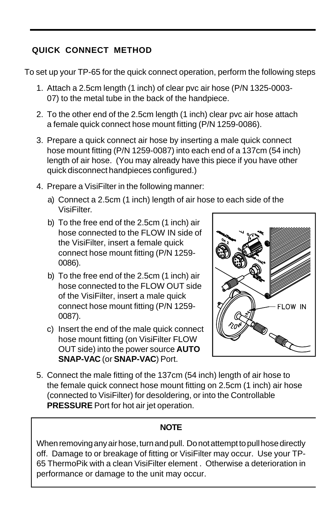#### **QUICK CONNECT METHOD**

To set up your TP-65 for the quick connect operation, perform the following steps.

- 1. Attach a 2.5cm length (1 inch) of clear pvc air hose (P/N 1325-0003- 07) to the metal tube in the back of the handpiece.
- 2. To the other end of the 2.5cm length (1 inch) clear pvc air hose attach a female quick connect hose mount fitting (P/N 1259-0086).
- 3. Prepare a quick connect air hose by inserting a male quick connect hose mount fitting (P/N 1259-0087) into each end of a 137cm (54 inch) length of air hose. (You may already have this piece if you have other quick disconnect handpieces configured.)
- 4. Prepare a VisiFilter in the following manner:
	- a) Connect a 2.5cm (1 inch) length of air hose to each side of the VisiFilter.
	- b) To the free end of the 2.5cm (1 inch) air hose connected to the FLOW IN side of the VisiFilter, insert a female quick connect hose mount fitting (P/N 1259- 0086).
	- b) To the free end of the 2.5cm (1 inch) air hose connected to the FLOW OUT side of the VisiFilter, insert a male quick connect hose mount fitting (P/N 1259- 0087).
	- c) Insert the end of the male quick connect hose mount fitting (on VisiFilter FLOW OUT side) into the power source **AUTO SNAP-VAC** (or **SNAP-VAC**) Port.



5. Connect the male fitting of the 137cm (54 inch) length of air hose to the female quick connect hose mount fitting on 2.5cm (1 inch) air hose (connected to VisiFilter) for desoldering, or into the Controllable **PRESSURE** Port for hot air jet operation.

#### **NOTE**

When removing any air hose, turn and pull. Do not attempt to pull hose directly off. Damage to or breakage of fitting or VisiFilter may occur. Use your TP-65 ThermoPik with a clean VisiFilter element . Otherwise a deterioration in performance or damage to the unit may occur.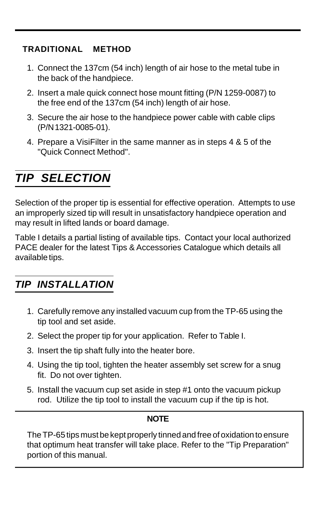#### **TRADITIONAL METHOD**

- 1. Connect the 137cm (54 inch) length of air hose to the metal tube in the back of the handpiece.
- 2. Insert a male quick connect hose mount fitting (P/N 1259-0087) to the free end of the 137cm (54 inch) length of air hose.
- 3. Secure the air hose to the handpiece power cable with cable clips (P/N 1321-0085-01).
- 4. Prepare a VisiFilter in the same manner as in steps 4 & 5 of the "Quick Connect Method".

# *TIP SELECTION*

Selection of the proper tip is essential for effective operation. Attempts to use an improperly sized tip will result in unsatisfactory handpiece operation and may result in lifted lands or board damage.

Table I details a partial listing of available tips. Contact your local authorized PACE dealer for the latest Tips & Accessories Catalogue which details all available tips.

### *TIP INSTALLATION*

- 1. Carefully remove any installed vacuum cup from the TP-65 using the tip tool and set aside.
- 2. Select the proper tip for your application. Refer to Table I.
- 3. Insert the tip shaft fully into the heater bore.
- 4. Using the tip tool, tighten the heater assembly set screw for a snug fit. Do not over tighten.
- 5. Install the vacuum cup set aside in step #1 onto the vacuum pickup rod. Utilize the tip tool to install the vacuum cup if the tip is hot.

#### **NOTE**

The TP-65 tips must be kept properly tinned and free of oxidation to ensure that optimum heat transfer will take place. Refer to the "Tip Preparation" portion of this manual.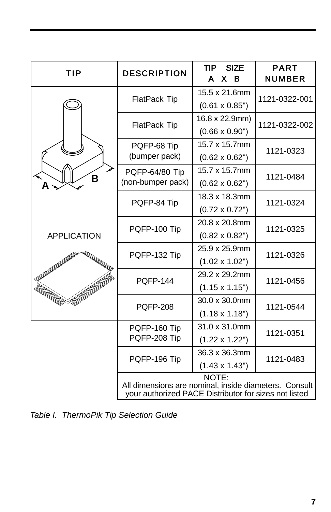| TIP                | <b>DESCRIPTION</b>                                                                                                      | <b>SIZE</b><br>TIP<br>A<br>X.<br>B      | <b>PART</b><br><b>NUMBER</b> |
|--------------------|-------------------------------------------------------------------------------------------------------------------------|-----------------------------------------|------------------------------|
| B                  | FlatPack Tip                                                                                                            | 15.5 x 21.6mm<br>$(0.61 \times 0.85")$  | 1121-0322-001                |
|                    | FlatPack Tip                                                                                                            | 16.8 x 22.9mm)<br>$(0.66 \times 0.90")$ | 1121-0322-002                |
|                    | PQFP-68 Tip<br>(bumper pack)                                                                                            | 15.7 x 15.7mm<br>$(0.62 \times 0.62")$  | 1121-0323                    |
|                    | PQFP-64/80 Tip<br>(non-bumper pack)                                                                                     | 15.7 x 15.7mm<br>$(0.62 \times 0.62")$  | 1121-0484                    |
|                    | PQFP-84 Tip                                                                                                             | 18.3 x 18.3mm<br>$(0.72 \times 0.72")$  | 1121-0324                    |
| <b>APPLICATION</b> | PQFP-100 Tip                                                                                                            | 20.8 x 20.8mm<br>$(0.82 \times 0.82")$  | 1121-0325                    |
|                    | PQFP-132 Tip                                                                                                            | 25.9 x 25.9mm<br>$(1.02 \times 1.02")$  | 1121-0326                    |
|                    | <b>POFP-144</b>                                                                                                         | 29.2 x 29.2mm<br>$(1.15 \times 1.15")$  | 1121-0456                    |
|                    | <b>PQFP-208</b>                                                                                                         | 30.0 x 30.0mm<br>$(1.18 \times 1.18")$  | 1121-0544                    |
|                    | PQFP-160 Tip<br>PQFP-208 Tip                                                                                            | 31.0 x 31.0mm<br>$(1.22 \times 1.22")$  | 1121-0351                    |
|                    | PQFP-196 Tip                                                                                                            | 36.3 x 36.3mm<br>$(1.43 \times 1.43")$  | 1121-0483                    |
|                    | NOTE:<br>All dimensions are nominal, inside diameters. Consult<br>your authorized PACE Distributor for sizes not listed |                                         |                              |

*Table I. ThermoPik Tip Selection Guide*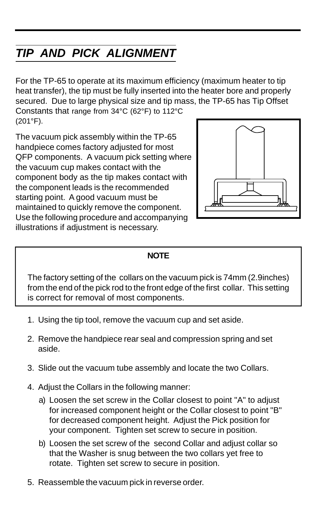# *TIP AND PICK ALIGNMENT*

For the TP-65 to operate at its maximum efficiency (maximum heater to tip heat transfer), the tip must be fully inserted into the heater bore and properly secured. Due to large physical size and tip mass, the TP-65 has Tip Offset

Constants that range from 34°C (62°F) to 112°C (201°F).

The vacuum pick assembly within the TP-65 handpiece comes factory adjusted for most QFP components. A vacuum pick setting where the vacuum cup makes contact with the component body as the tip makes contact with the component leads is the recommended starting point. A good vacuum must be maintained to quickly remove the component. Use the following procedure and accompanying illustrations if adjustment is necessary.



#### **NOTE**

The factory setting of the collars on the vacuum pick is 74mm (2.9inches) from the end of the pick rod to the front edge of the first collar. This setting is correct for removal of most components.

- 1. Using the tip tool, remove the vacuum cup and set aside.
- 2. Remove the handpiece rear seal and compression spring and set aside.
- 3. Slide out the vacuum tube assembly and locate the two Collars.
- 4. Adjust the Collars in the following manner:
	- a) Loosen the set screw in the Collar closest to point "A" to adjust for increased component height or the Collar closest to point "B" for decreased component height. Adjust the Pick position for your component. Tighten set screw to secure in position.
	- b) Loosen the set screw of the second Collar and adjust collar so that the Washer is snug between the two collars yet free to rotate. Tighten set screw to secure in position.
- 5. Reassemble the vacuum pick in reverse order.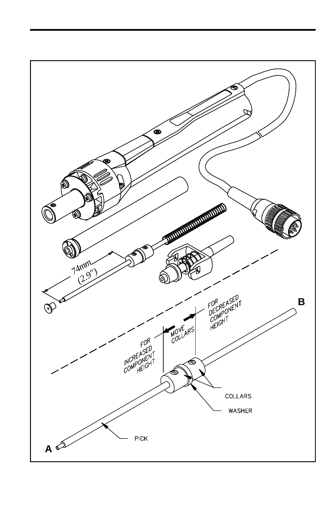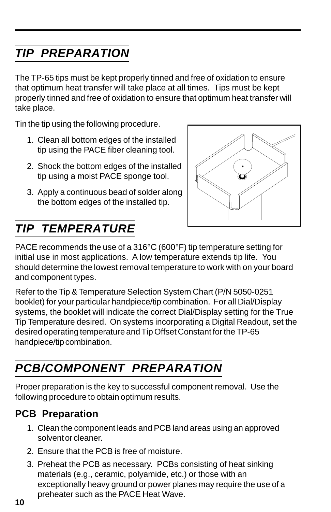# *TIP PREPARATION*

The TP-65 tips must be kept properly tinned and free of oxidation to ensure that optimum heat transfer will take place at all times. Tips must be kept properly tinned and free of oxidation to ensure that optimum heat transfer will take place.

Tin the tip using the following procedure.

- 1. Clean all bottom edges of the installed tip using the PACE fiber cleaning tool.
- 2. Shock the bottom edges of the installed tip using a moist PACE sponge tool.
- 3. Apply a continuous bead of solder along the bottom edges of the installed tip.



# *TIP TEMPERATURE*

PACE recommends the use of a 316°C (600°F) tip temperature setting for initial use in most applications. A low temperature extends tip life. You should determine the lowest removal temperature to work with on your board and component types.

Refer to the Tip & Temperature Selection System Chart (P/N 5050-0251 booklet) for your particular handpiece/tip combination. For all Dial/Display systems, the booklet will indicate the correct Dial/Display setting for the True Tip Temperature desired. On systems incorporating a Digital Readout, set the desired operating temperature and Tip Offset Constant for the TP-65 handpiece/tip combination.

# *PCB/COMPONENT PREPARATION*

Proper preparation is the key to successful component removal. Use the following procedure to obtain optimum results.

### **PCB Preparation**

- 1. Clean the component leads and PCB land areas using an approved solvent or cleaner.
- 2. Ensure that the PCB is free of moisture.
- 3. Preheat the PCB as necessary. PCBs consisting of heat sinking materials (e.g., ceramic, polyamide, etc.) or those with an exceptionally heavy ground or power planes may require the use of a preheater such as the PACE Heat Wave.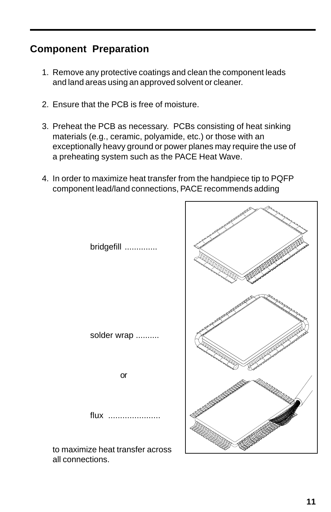### **Component Preparation**

- 1. Remove any protective coatings and clean the component leads and land areas using an approved solvent or cleaner.
- 2. Ensure that the PCB is free of moisture.
- 3. Preheat the PCB as necessary. PCBs consisting of heat sinking materials (e.g., ceramic, polyamide, etc.) or those with an exceptionally heavy ground or power planes may require the use of a preheating system such as the PACE Heat Wave.
- 4. In order to maximize heat transfer from the handpiece tip to PQFP component lead/land connections, PACE recommends adding

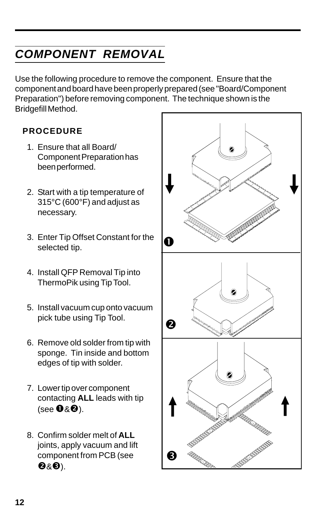# *COMPONENT REMOVAL*

Use the following procedure to remove the component. Ensure that the component and board have been properly prepared (see "Board/Component Preparation") before removing component. The technique shown is the Bridgefill Method.

#### **PROCEDURE**

- 1. Ensure that all Board/ Component Preparation has been performed.
- 2. Start with a tip temperature of 315°C (600°F) and adjust as necessary.
- 3. Enter Tip Offset Constant for the selected tip.
- 4. Install QFP Removal Tip into ThermoPik using Tip Tool.
- 5. Install vacuum cup onto vacuum pick tube using Tip Tool.
- 6. Remove old solder from tip with sponge. Tin inside and bottom edges of tip with solder.
- 7. Lower tip over component contacting **ALL** leads with tip (see  $\mathbf{0}8\check{\mathbf{e}}$ ).
- 8. Confirm solder melt of **ALL** joints, apply vacuum and lift component from PCB (see  $\bullet$ & $\bullet$ ).

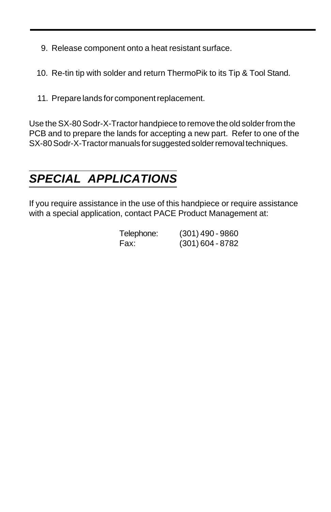- 9. Release component onto a heat resistant surface.
- 10. Re-tin tip with solder and return ThermoPik to its Tip & Tool Stand.
- 11. Prepare lands for component replacement.

Use the SX-80 Sodr-X-Tractor handpiece to remove the old solder from the PCB and to prepare the lands for accepting a new part. Refer to one of the SX-80 Sodr-X-Tractor manuals for suggested solder removal techniques.

# *SPECIAL APPLICATIONS*

If you require assistance in the use of this handpiece or require assistance with a special application, contact PACE Product Management at:

| Telephone: | $(301)$ 490 - 9860 |
|------------|--------------------|
| Fax:       | $(301)$ 604 - 8782 |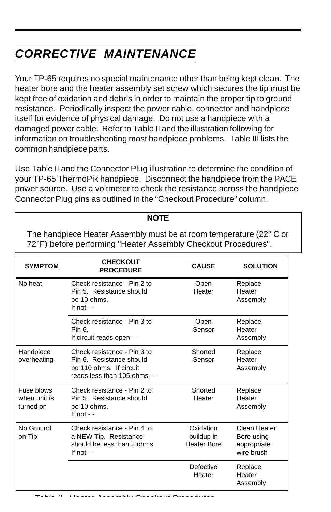# *CORRECTIVE MAINTENANCE*

Your TP-65 requires no special maintenance other than being kept clean. The heater bore and the heater assembly set screw which secures the tip must be kept free of oxidation and debris in order to maintain the proper tip to ground resistance. Periodically inspect the power cable, connector and handpiece itself for evidence of physical damage. Do not use a handpiece with a damaged power cable. Refer to Table II and the illustration following for information on troubleshooting most handpiece problems. Table III lists the common handpiece parts.

Use Table II and the Connector Plug illustration to determine the condition of your TP-65 ThermoPik handpiece. Disconnect the handpiece from the PACE power source. Use a voltmeter to check the resistance across the handpiece Connector Plug pins as outlined in the "Checkout Procedure" column.

#### **NOTE**

The handpiece Heater Assembly must be at room temperature (22° C or 72°F) before performing "Heater Assembly Checkout Procedures".

| <b>SYMPTOM</b>                          | <b>CHECKOUT</b><br><b>PROCEDURE</b>                                                                                | <b>CAUSE</b>                                  | <b>SOLUTION</b>                                         |
|-----------------------------------------|--------------------------------------------------------------------------------------------------------------------|-----------------------------------------------|---------------------------------------------------------|
| No heat                                 | Check resistance - Pin 2 to<br>Pin 5. Resistance should<br>be 10 ohms.<br>If not $-$                               | Open<br>Heater                                | Replace<br>Heater<br>Assembly                           |
|                                         | Check resistance - Pin 3 to<br>Pin 6.<br>If circuit reads open - -                                                 | Open<br>Sensor                                | Replace<br>Heater<br>Assembly                           |
| Handpiece<br>overheating                | Check resistance - Pin 3 to<br>Pin 6. Resistance should<br>be 110 ohms. If circuit<br>reads less than 105 ohms - - | Shorted<br>Sensor                             | Replace<br>Heater<br>Assembly                           |
| Fuse blows<br>when unit is<br>turned on | Check resistance - Pin 2 to<br>Pin 5. Resistance should<br>be 10 ohms.<br>If not $-$                               | Shorted<br>Heater                             | Replace<br>Heater<br>Assembly                           |
| No Ground<br>on Tip                     | Check resistance - Pin 4 to<br>a NEW Tip. Resistance<br>should be less than 2 ohms.<br>If not $-$                  | Oxidation<br>buildup in<br><b>Heater Bore</b> | Clean Heater<br>Bore using<br>appropriate<br>wire brush |
|                                         |                                                                                                                    | Defective<br>Heater                           | Replace<br>Heater<br>Assembly                           |

*Table II. Heater Assembly Checkout Procedures*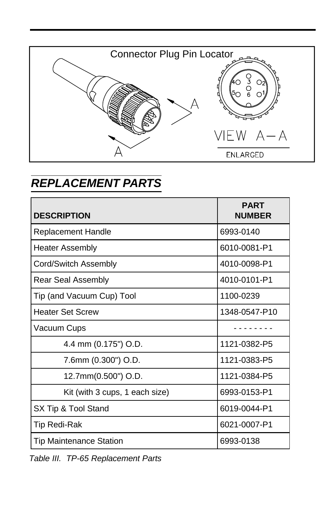

## *REPLACEMENT PARTS*

| <b>DESCRIPTION</b>             | <b>PART</b><br><b>NUMBER</b> |
|--------------------------------|------------------------------|
| <b>Replacement Handle</b>      | 6993-0140                    |
| <b>Heater Assembly</b>         | 6010-0081-P1                 |
| Cord/Switch Assembly           | 4010-0098-P1                 |
| Rear Seal Assembly             | 4010-0101-P1                 |
| Tip (and Vacuum Cup) Tool      | 1100-0239                    |
| <b>Heater Set Screw</b>        | 1348-0547-P10                |
| Vacuum Cups                    |                              |
| 4.4 mm (0.175") O.D.           | 1121-0382-P5                 |
| 7.6mm (0.300") O.D.            | 1121-0383-P5                 |
| 12.7mm(0.500") O.D.            | 1121-0384-P5                 |
| Kit (with 3 cups, 1 each size) | 6993-0153-P1                 |
| SX Tip & Tool Stand            | 6019-0044-P1                 |
| <b>Tip Redi-Rak</b>            | 6021-0007-P1                 |
| <b>Tip Maintenance Station</b> | 6993-0138                    |

*Table III. TP-65 Replacement Parts*